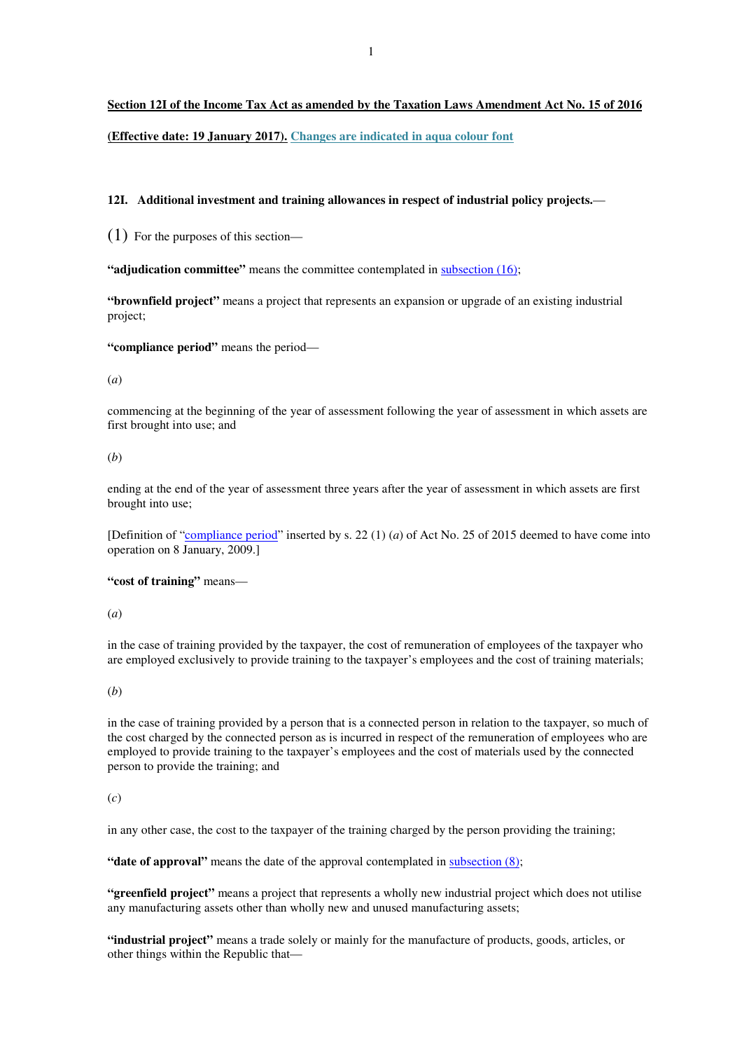### **Section 12I of the Income Tax Act as amended by the Taxation Laws Amendment Act No. 15 of 2016**

**(Effective date: 19 January 2017). Changes are indicated in aqua colour font**

#### **12I. Additional investment and training allowances in respect of industrial policy projects.**—

(1) For the purposes of this section—

**"adjudication committee"** means the committee contemplated in subsection (16);

**"brownfield project"** means a project that represents an expansion or upgrade of an existing industrial project;

**"compliance period"** means the period—

#### (*a*)

commencing at the beginning of the year of assessment following the year of assessment in which assets are first brought into use; and

# (*b*)

ending at the end of the year of assessment three years after the year of assessment in which assets are first brought into use;

[Definition of "compliance period" inserted by s. 22 (1) (*a*) of Act No. 25 of 2015 deemed to have come into operation on 8 January, 2009.]

# **"cost of training"** means—

#### (*a*)

in the case of training provided by the taxpayer, the cost of remuneration of employees of the taxpayer who are employed exclusively to provide training to the taxpayer's employees and the cost of training materials;

#### (*b*)

in the case of training provided by a person that is a connected person in relation to the taxpayer, so much of the cost charged by the connected person as is incurred in respect of the remuneration of employees who are employed to provide training to the taxpayer's employees and the cost of materials used by the connected person to provide the training; and

#### (*c*)

in any other case, the cost to the taxpayer of the training charged by the person providing the training;

**"date of approval"** means the date of the approval contemplated in subsection (8);

**"greenfield project"** means a project that represents a wholly new industrial project which does not utilise any manufacturing assets other than wholly new and unused manufacturing assets;

**"industrial project"** means a trade solely or mainly for the manufacture of products, goods, articles, or other things within the Republic that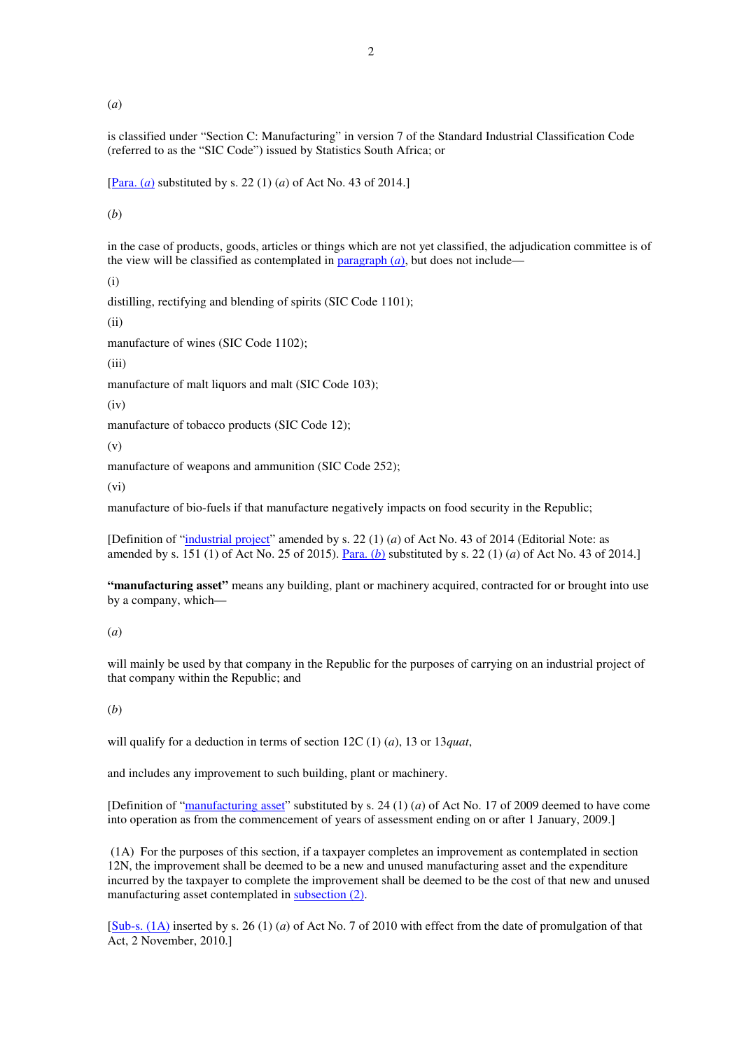(*a*)

is classified under "Section C: Manufacturing" in version 7 of the Standard Industrial Classification Code (referred to as the "SIC Code") issued by Statistics South Africa; or

[Para. (*a*) substituted by s. 22 (1) (*a*) of Act No. 43 of 2014.]

(*b*)

in the case of products, goods, articles or things which are not yet classified, the adjudication committee is of the view will be classified as contemplated in  $\frac{0}{2}$  paragraph  $(a)$ , but does not include—

(i)

distilling, rectifying and blending of spirits (SIC Code 1101);

(ii)

manufacture of wines (SIC Code 1102);

 $(iii)$ 

manufacture of malt liquors and malt (SIC Code 103);

 $(iv)$ 

manufacture of tobacco products (SIC Code 12);

(v)

manufacture of weapons and ammunition (SIC Code 252);

(vi)

manufacture of bio-fuels if that manufacture negatively impacts on food security in the Republic;

[Definition of "industrial project" amended by s. 22 (1) (*a*) of Act No. 43 of 2014 (Editorial Note: as amended by s. 151 (1) of Act No. 25 of 2015). Para. (*b*) substituted by s. 22 (1) (*a*) of Act No. 43 of 2014.]

**"manufacturing asset"** means any building, plant or machinery acquired, contracted for or brought into use by a company, which-

# (*a*)

will mainly be used by that company in the Republic for the purposes of carrying on an industrial project of that company within the Republic; and

### (*b*)

will qualify for a deduction in terms of section 12C (1) (*a*), 13 or 13*quat*,

and includes any improvement to such building, plant or machinery.

[Definition of "manufacturing asset" substituted by s. 24 (1) (*a*) of Act No. 17 of 2009 deemed to have come into operation as from the commencement of years of assessment ending on or after 1 January, 2009.]

 (1A) For the purposes of this section, if a taxpayer completes an improvement as contemplated in section 12N, the improvement shall be deemed to be a new and unused manufacturing asset and the expenditure incurred by the taxpayer to complete the improvement shall be deemed to be the cost of that new and unused manufacturing asset contemplated in subsection (2).

[Sub-s. (1A) inserted by s. 26 (1) (*a*) of Act No. 7 of 2010 with effect from the date of promulgation of that Act, 2 November, 2010.]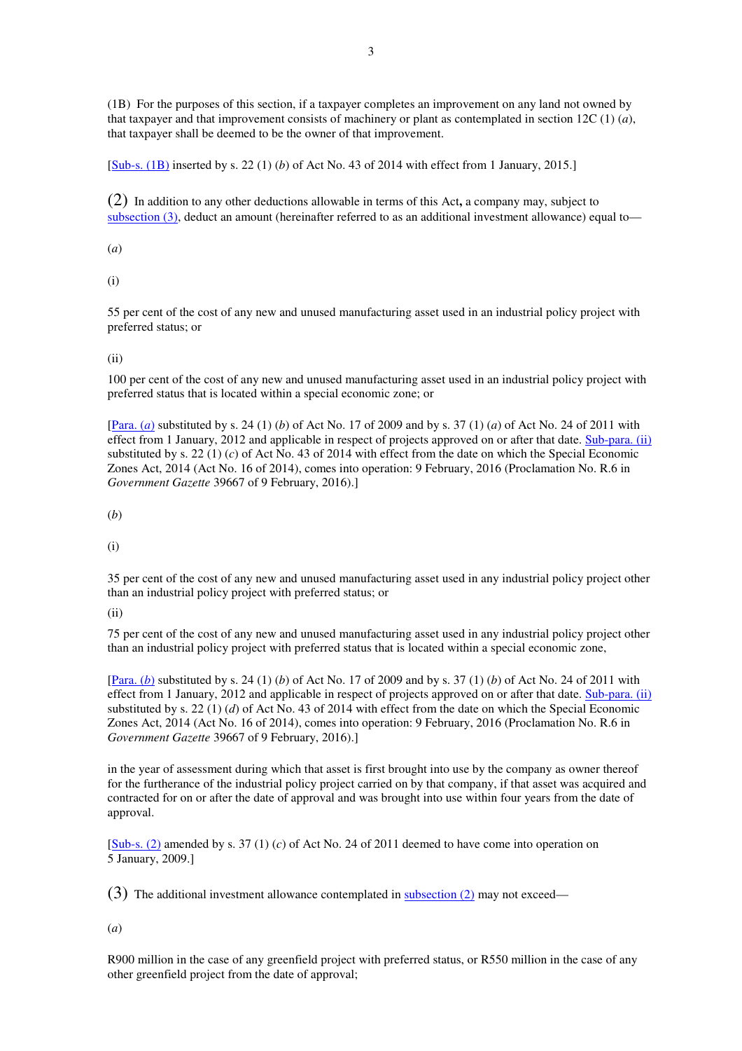(1B) For the purposes of this section, if a taxpayer completes an improvement on any land not owned by that taxpayer and that improvement consists of machinery or plant as contemplated in section 12C (1) (*a*), that taxpayer shall be deemed to be the owner of that improvement.

[Sub-s. (1B) inserted by s. 22 (1) (*b*) of Act No. 43 of 2014 with effect from 1 January, 2015.]

(2) In addition to any other deductions allowable in terms of this Act**,** a company may, subject to subsection (3), deduct an amount (hereinafter referred to as an additional investment allowance) equal to—

(*a*)

(i)

55 per cent of the cost of any new and unused manufacturing asset used in an industrial policy project with preferred status; or

(ii)

100 per cent of the cost of any new and unused manufacturing asset used in an industrial policy project with preferred status that is located within a special economic zone; or

[Para. (*a*) substituted by s. 24 (1) (*b*) of Act No. 17 of 2009 and by s. 37 (1) (*a*) of Act No. 24 of 2011 with effect from 1 January, 2012 and applicable in respect of projects approved on or after that date. Sub-para. (ii) substituted by s. 22 (1) (*c*) of Act No. 43 of 2014 with effect from the date on which the Special Economic Zones Act, 2014 (Act No. 16 of 2014), comes into operation: 9 February, 2016 (Proclamation No. R.6 in *Government Gazette* 39667 of 9 February, 2016).]

(*b*)

(i)

35 per cent of the cost of any new and unused manufacturing asset used in any industrial policy project other than an industrial policy project with preferred status; or

(ii)

75 per cent of the cost of any new and unused manufacturing asset used in any industrial policy project other than an industrial policy project with preferred status that is located within a special economic zone,

[Para. (*b*) substituted by s. 24 (1) (*b*) of Act No. 17 of 2009 and by s. 37 (1) (*b*) of Act No. 24 of 2011 with effect from 1 January, 2012 and applicable in respect of projects approved on or after that date. Sub-para. (ii) substituted by s. 22 (1) (*d*) of Act No. 43 of 2014 with effect from the date on which the Special Economic Zones Act, 2014 (Act No. 16 of 2014), comes into operation: 9 February, 2016 (Proclamation No. R.6 in *Government Gazette* 39667 of 9 February, 2016).]

in the year of assessment during which that asset is first brought into use by the company as owner thereof for the furtherance of the industrial policy project carried on by that company, if that asset was acquired and contracted for on or after the date of approval and was brought into use within four years from the date of approval.

[Sub-s. (2) amended by s. 37 (1) (*c*) of Act No. 24 of 2011 deemed to have come into operation on 5 January, 2009.]

(3) The additional investment allowance contemplated in subsection (2) may not exceed—

(*a*)

R900 million in the case of any greenfield project with preferred status, or R550 million in the case of any other greenfield project from the date of approval;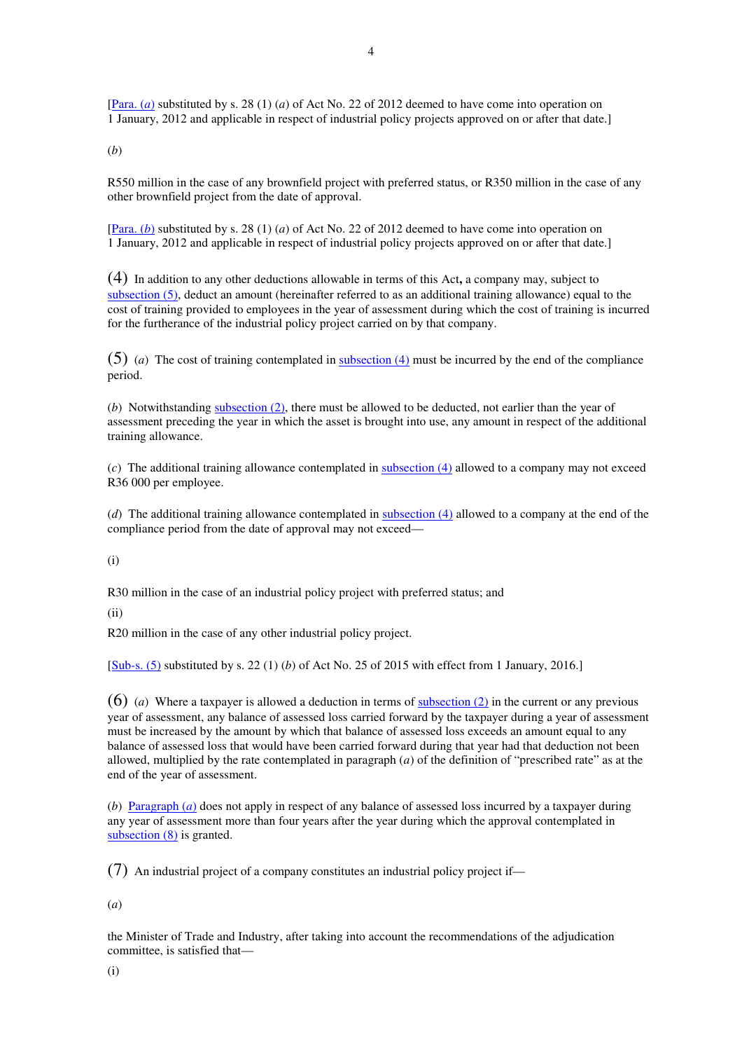[Para. (*a*) substituted by s. 28 (1) (*a*) of Act No. 22 of 2012 deemed to have come into operation on 1 January, 2012 and applicable in respect of industrial policy projects approved on or after that date.]

(*b*)

R550 million in the case of any brownfield project with preferred status, or R350 million in the case of any other brownfield project from the date of approval.

[Para. (*b*) substituted by s. 28 (1) (*a*) of Act No. 22 of 2012 deemed to have come into operation on 1 January, 2012 and applicable in respect of industrial policy projects approved on or after that date.]

(4) In addition to any other deductions allowable in terms of this Act**,** a company may, subject to subsection (5), deduct an amount (hereinafter referred to as an additional training allowance) equal to the cost of training provided to employees in the year of assessment during which the cost of training is incurred for the furtherance of the industrial policy project carried on by that company.

(5) (*a*) The cost of training contemplated in subsection (4) must be incurred by the end of the compliance period.

(*b*) Notwithstanding subsection (2), there must be allowed to be deducted, not earlier than the year of assessment preceding the year in which the asset is brought into use, any amount in respect of the additional training allowance.

(*c*) The additional training allowance contemplated in subsection (4) allowed to a company may not exceed R36 000 per employee.

(*d*) The additional training allowance contemplated in subsection (4) allowed to a company at the end of the compliance period from the date of approval may not exceed—

(i)

R30 million in the case of an industrial policy project with preferred status; and

(ii)

R20 million in the case of any other industrial policy project.

[Sub-s. (5) substituted by s. 22 (1) (*b*) of Act No. 25 of 2015 with effect from 1 January, 2016.]

(6) (*a*) Where a taxpayer is allowed a deduction in terms of subsection (2) in the current or any previous year of assessment, any balance of assessed loss carried forward by the taxpayer during a year of assessment must be increased by the amount by which that balance of assessed loss exceeds an amount equal to any balance of assessed loss that would have been carried forward during that year had that deduction not been allowed, multiplied by the rate contemplated in paragraph (*a*) of the definition of "prescribed rate" as at the end of the year of assessment.

(*b*) Paragraph (*a*) does not apply in respect of any balance of assessed loss incurred by a taxpayer during any year of assessment more than four years after the year during which the approval contemplated in subsection (8) is granted.

(7) An industrial project of a company constitutes an industrial policy project if—

(*a*)

the Minister of Trade and Industry, after taking into account the recommendations of the adjudication committee, is satisfied that—

(i)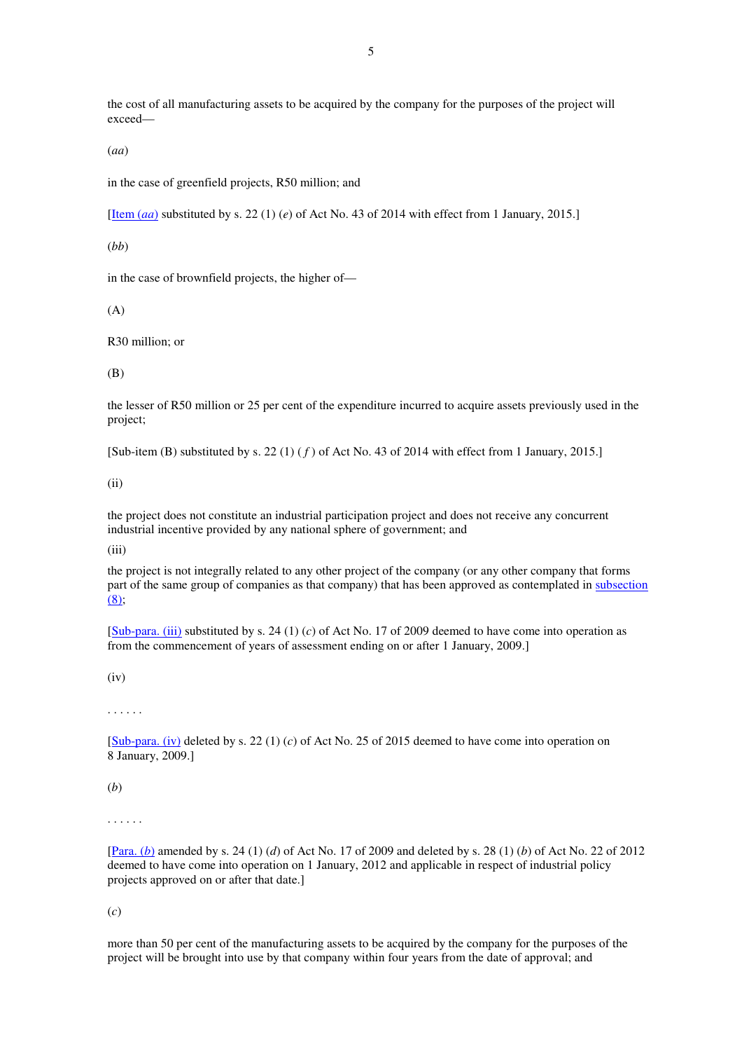the cost of all manufacturing assets to be acquired by the company for the purposes of the project will exceed—

(*aa*)

in the case of greenfield projects, R50 million; and

[Item (*aa*) substituted by s. 22 (1) (*e*) of Act No. 43 of 2014 with effect from 1 January, 2015.]

(*bb*)

in the case of brownfield projects, the higher of—

(A)

R30 million; or

(B)

the lesser of R50 million or 25 per cent of the expenditure incurred to acquire assets previously used in the project;

[Sub-item (B) substituted by s. 22 (1) ( *f* ) of Act No. 43 of 2014 with effect from 1 January, 2015.]

(ii)

the project does not constitute an industrial participation project and does not receive any concurrent industrial incentive provided by any national sphere of government; and

(iii)

the project is not integrally related to any other project of the company (or any other company that forms part of the same group of companies as that company) that has been approved as contemplated in subsection (8);

[Sub-para. (iii) substituted by s. 24 (1) (*c*) of Act No. 17 of 2009 deemed to have come into operation as from the commencement of years of assessment ending on or after 1 January, 2009.]

 $(iv)$ 

. . . . . .

[Sub-para. (iv) deleted by s. 22 (1) (*c*) of Act No. 25 of 2015 deemed to have come into operation on 8 January, 2009.]

(*b*)

. . . . . .

[Para. (*b*) amended by s. 24 (1) (*d*) of Act No. 17 of 2009 and deleted by s. 28 (1) (*b*) of Act No. 22 of 2012 deemed to have come into operation on 1 January, 2012 and applicable in respect of industrial policy projects approved on or after that date.]

(*c*)

more than 50 per cent of the manufacturing assets to be acquired by the company for the purposes of the project will be brought into use by that company within four years from the date of approval; and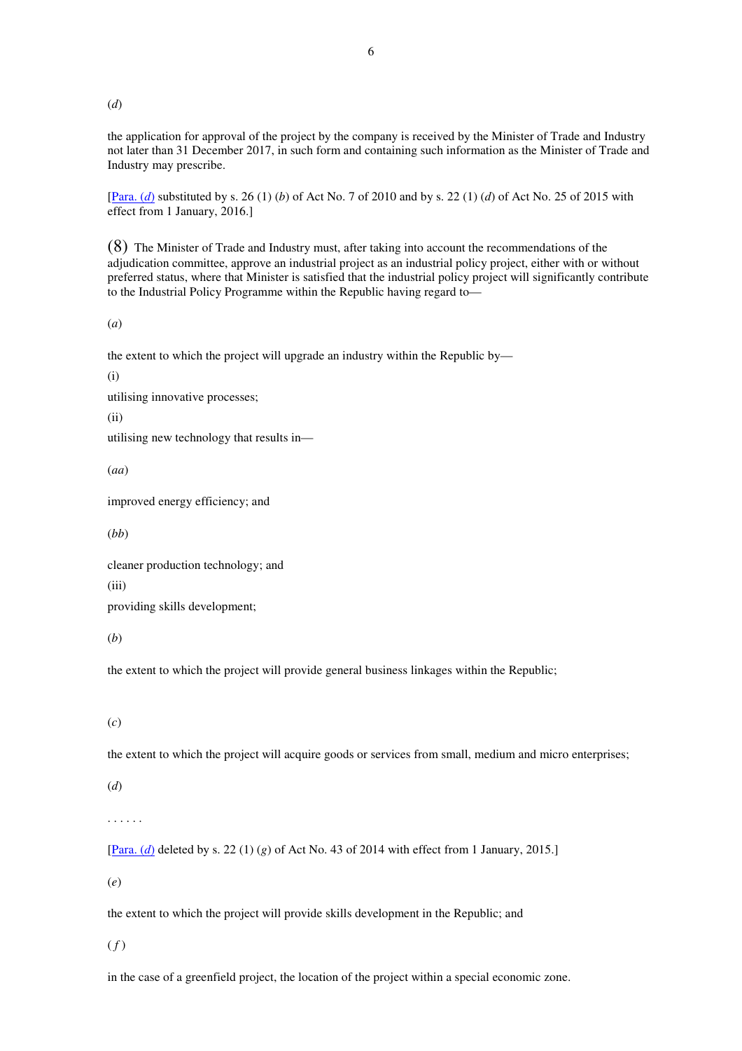(*d*)

the application for approval of the project by the company is received by the Minister of Trade and Industry not later than 31 December 2017, in such form and containing such information as the Minister of Trade and Industry may prescribe.

[Para. (*d*) substituted by s. 26 (1) (*b*) of Act No. 7 of 2010 and by s. 22 (1) (*d*) of Act No. 25 of 2015 with effect from 1 January, 2016.]

(8) The Minister of Trade and Industry must, after taking into account the recommendations of the adjudication committee, approve an industrial project as an industrial policy project, either with or without preferred status, where that Minister is satisfied that the industrial policy project will significantly contribute to the Industrial Policy Programme within the Republic having regard to—

(*a*)

the extent to which the project will upgrade an industry within the Republic by—

(i)

utilising innovative processes;

(ii)

utilising new technology that results in—

(*aa*)

improved energy efficiency; and

(*bb*)

cleaner production technology; and

(iii)

providing skills development;

(*b*)

the extent to which the project will provide general business linkages within the Republic;

(*c*)

the extent to which the project will acquire goods or services from small, medium and micro enterprises;

(*d*)

. . . . . .

[Para. (*d*) deleted by s. 22 (1) (*g*) of Act No. 43 of 2014 with effect from 1 January, 2015.]

(*e*)

the extent to which the project will provide skills development in the Republic; and

 $(f)$ 

in the case of a greenfield project, the location of the project within a special economic zone.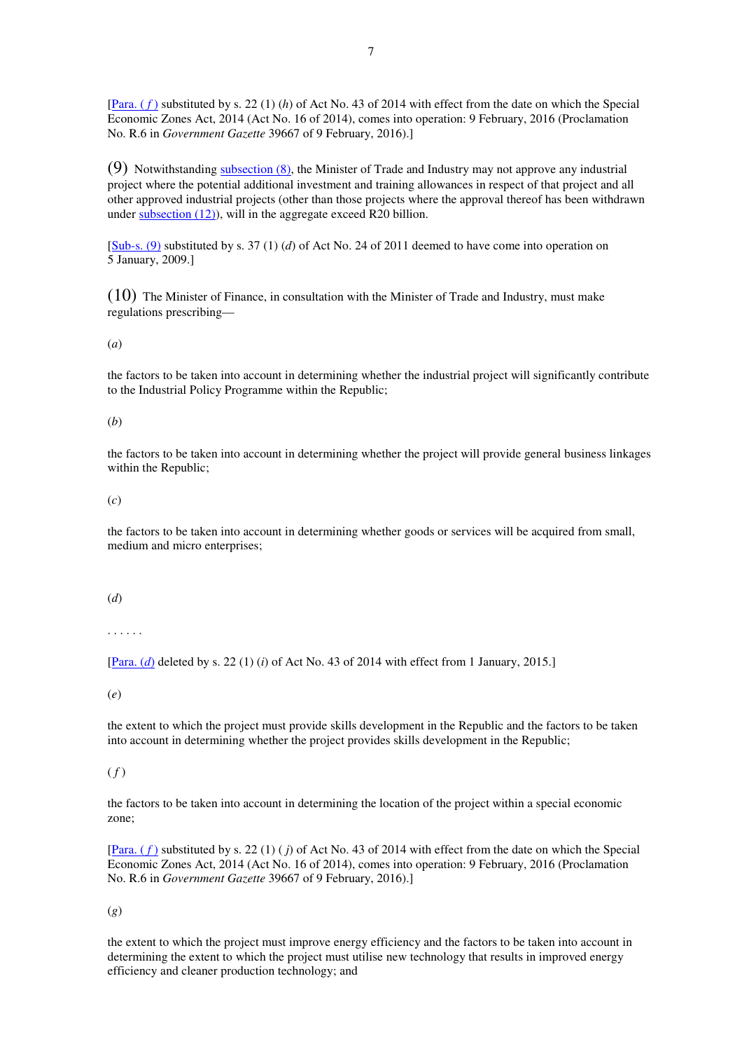[Para. ( *f* ) substituted by s. 22 (1) (*h*) of Act No. 43 of 2014 with effect from the date on which the Special Economic Zones Act, 2014 (Act No. 16 of 2014), comes into operation: 9 February, 2016 (Proclamation No. R.6 in *Government Gazette* 39667 of 9 February, 2016).]

 $(9)$  Notwithstanding subsection  $(8)$ , the Minister of Trade and Industry may not approve any industrial project where the potential additional investment and training allowances in respect of that project and all other approved industrial projects (other than those projects where the approval thereof has been withdrawn under subsection (12)), will in the aggregate exceed R20 billion.

[Sub-s. (9) substituted by s. 37 (1) (*d*) of Act No. 24 of 2011 deemed to have come into operation on 5 January, 2009.]

(10) The Minister of Finance, in consultation with the Minister of Trade and Industry, must make regulations prescribing—

(*a*)

the factors to be taken into account in determining whether the industrial project will significantly contribute to the Industrial Policy Programme within the Republic;

#### (*b*)

the factors to be taken into account in determining whether the project will provide general business linkages within the Republic;

(*c*)

the factors to be taken into account in determining whether goods or services will be acquired from small, medium and micro enterprises;

#### (*d*)

. . . . . .

[Para. (*d*) deleted by s. 22 (1) (*i*) of Act No. 43 of 2014 with effect from 1 January, 2015.]

(*e*)

the extent to which the project must provide skills development in the Republic and the factors to be taken into account in determining whether the project provides skills development in the Republic;

# $(f)$

the factors to be taken into account in determining the location of the project within a special economic zone;

[Para. ( *f* ) substituted by s. 22 (1) ( *j*) of Act No. 43 of 2014 with effect from the date on which the Special Economic Zones Act, 2014 (Act No. 16 of 2014), comes into operation: 9 February, 2016 (Proclamation No. R.6 in *Government Gazette* 39667 of 9 February, 2016).]

(*g*)

the extent to which the project must improve energy efficiency and the factors to be taken into account in determining the extent to which the project must utilise new technology that results in improved energy efficiency and cleaner production technology; and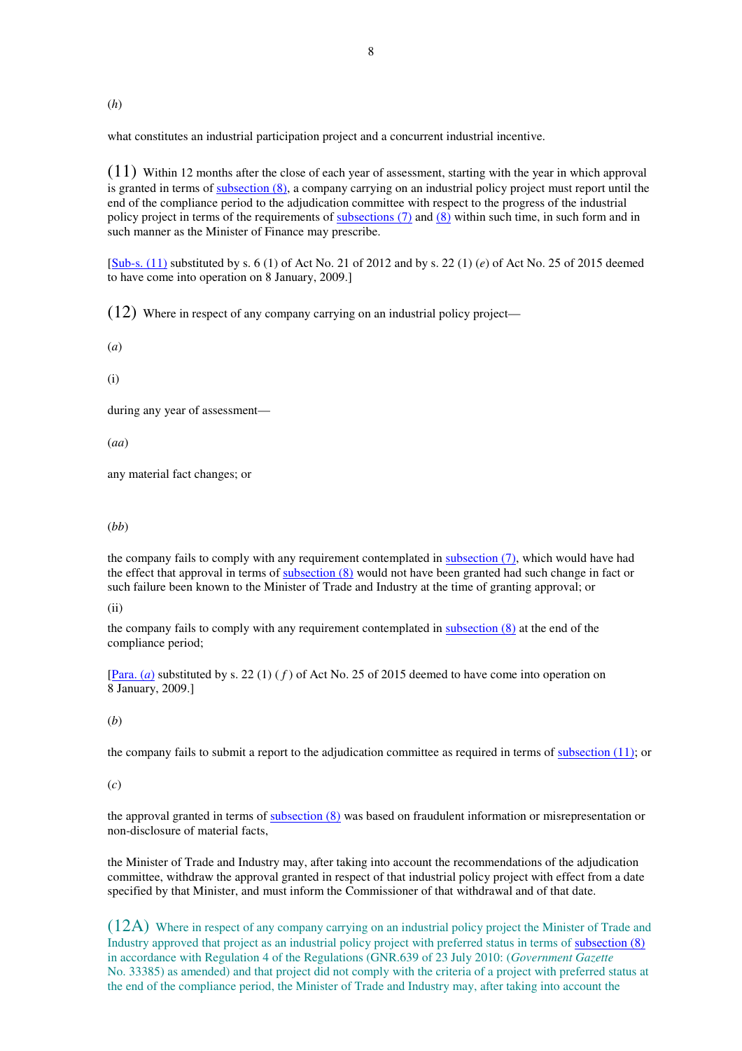(*h*)

what constitutes an industrial participation project and a concurrent industrial incentive.

 $(11)$  Within 12 months after the close of each year of assessment, starting with the year in which approval is granted in terms of subsection (8), a company carrying on an industrial policy project must report until the end of the compliance period to the adjudication committee with respect to the progress of the industrial policy project in terms of the requirements of subsections (7) and (8) within such time, in such form and in such manner as the Minister of Finance may prescribe.

[Sub-s. (11) substituted by s. 6 (1) of Act No. 21 of 2012 and by s. 22 (1) (*e*) of Act No. 25 of 2015 deemed to have come into operation on 8 January, 2009.]

(12) Where in respect of any company carrying on an industrial policy project—

(*a*)

(i)

during any year of assessment—

(*aa*)

any material fact changes; or

#### (*bb*)

the company fails to comply with any requirement contemplated in subsection (7), which would have had the effect that approval in terms of subsection (8) would not have been granted had such change in fact or such failure been known to the Minister of Trade and Industry at the time of granting approval; or

(ii)

the company fails to comply with any requirement contemplated in  $subsection (8)$  at the end of the compliance period;

[Para. (*a*) substituted by s. 22 (1) ( *f* ) of Act No. 25 of 2015 deemed to have come into operation on 8 January, 2009.]

# (*b*)

the company fails to submit a report to the adjudication committee as required in terms of subsection (11); or

### (*c*)

the approval granted in terms of subsection (8) was based on fraudulent information or misrepresentation or non-disclosure of material facts,

the Minister of Trade and Industry may, after taking into account the recommendations of the adjudication committee, withdraw the approval granted in respect of that industrial policy project with effect from a date specified by that Minister, and must inform the Commissioner of that withdrawal and of that date.

(12A) Where in respect of any company carrying on an industrial policy project the Minister of Trade and Industry approved that project as an industrial policy project with preferred status in terms of subsection (8) in accordance with Regulation 4 of the Regulations (GNR.639 of 23 July 2010: (*Government Gazette*  No. 33385) as amended) and that project did not comply with the criteria of a project with preferred status at the end of the compliance period, the Minister of Trade and Industry may, after taking into account the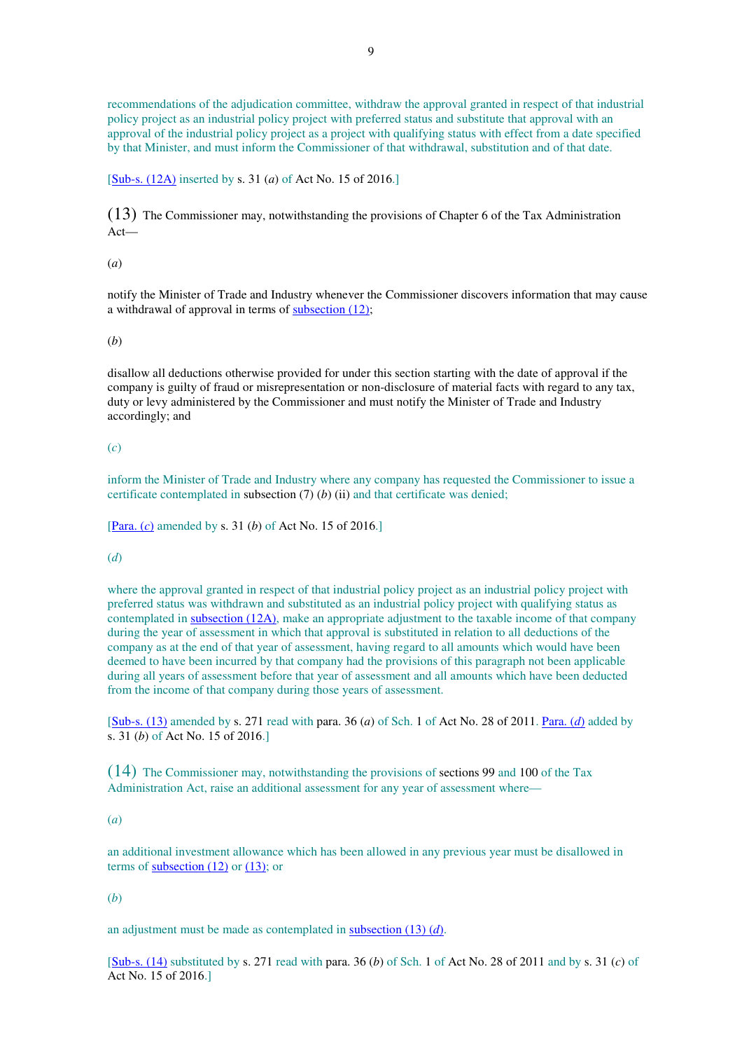recommendations of the adjudication committee, withdraw the approval granted in respect of that industrial policy project as an industrial policy project with preferred status and substitute that approval with an approval of the industrial policy project as a project with qualifying status with effect from a date specified by that Minister, and must inform the Commissioner of that withdrawal, substitution and of that date.

[Sub-s. (12A) inserted by s. 31 (*a*) of Act No. 15 of 2016.]

(13) The Commissioner may, notwithstanding the provisions of Chapter 6 of the Tax Administration Act—

### (*a*)

notify the Minister of Trade and Industry whenever the Commissioner discovers information that may cause a withdrawal of approval in terms of subsection (12);

#### (*b*)

disallow all deductions otherwise provided for under this section starting with the date of approval if the company is guilty of fraud or misrepresentation or non-disclosure of material facts with regard to any tax, duty or levy administered by the Commissioner and must notify the Minister of Trade and Industry accordingly; and

### (*c*)

inform the Minister of Trade and Industry where any company has requested the Commissioner to issue a certificate contemplated in subsection (7) (*b*) (ii) and that certificate was denied;

[Para. (*c*) amended by s. 31 (*b*) of Act No. 15 of 2016.]

### (*d*)

where the approval granted in respect of that industrial policy project as an industrial policy project with preferred status was withdrawn and substituted as an industrial policy project with qualifying status as contemplated in subsection (12A), make an appropriate adjustment to the taxable income of that company during the year of assessment in which that approval is substituted in relation to all deductions of the company as at the end of that year of assessment, having regard to all amounts which would have been deemed to have been incurred by that company had the provisions of this paragraph not been applicable during all years of assessment before that year of assessment and all amounts which have been deducted from the income of that company during those years of assessment.

[Sub-s. (13) amended by s. 271 read with para. 36 (*a*) of Sch. 1 of Act No. 28 of 2011. Para. (*d*) added by s. 31 (*b*) of Act No. 15 of 2016.]

 $(14)$  The Commissioner may, notwithstanding the provisions of sections 99 and 100 of the Tax Administration Act, raise an additional assessment for any year of assessment where—

### (*a*)

an additional investment allowance which has been allowed in any previous year must be disallowed in terms of subsection  $(12)$  or  $(13)$ ; or

#### (*b*)

an adjustment must be made as contemplated in subsection (13) (*d*).

[Sub-s. (14) substituted by s. 271 read with para. 36 (*b*) of Sch. 1 of Act No. 28 of 2011 and by s. 31 (*c*) of Act No. 15 of 2016.]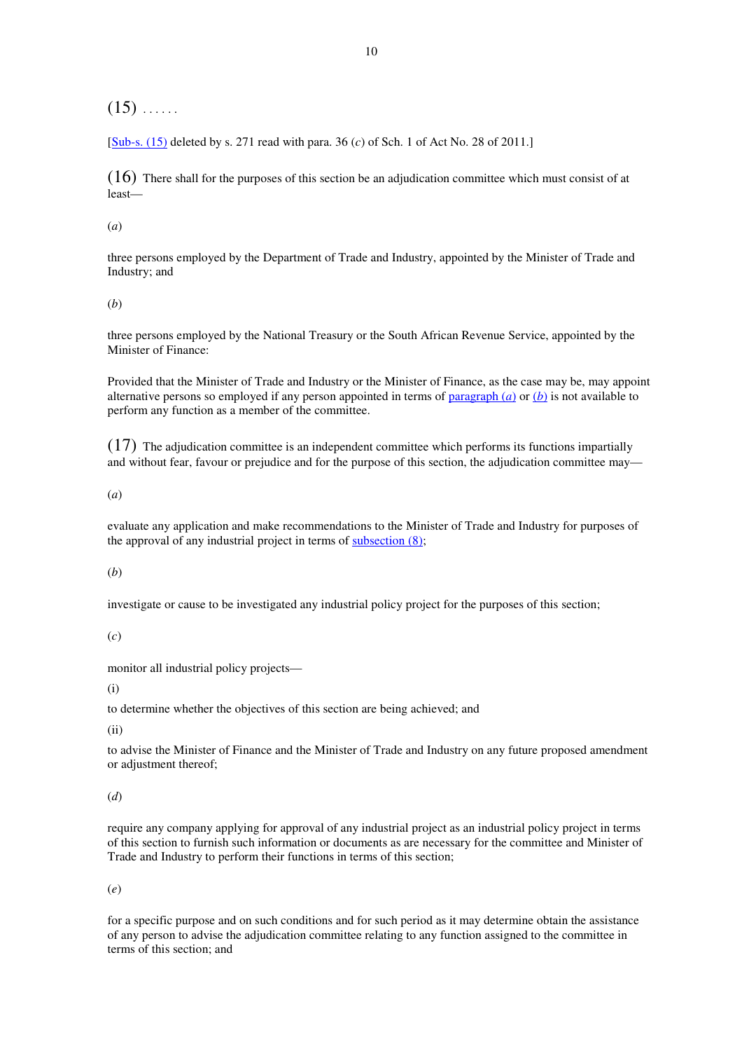$(15)$  ......

[Sub-s. (15) deleted by s. 271 read with para. 36 (*c*) of Sch. 1 of Act No. 28 of 2011.]

 $(16)$  There shall for the purposes of this section be an adjudication committee which must consist of at least—

(*a*)

three persons employed by the Department of Trade and Industry, appointed by the Minister of Trade and Industry; and

(*b*)

three persons employed by the National Treasury or the South African Revenue Service, appointed by the Minister of Finance:

Provided that the Minister of Trade and Industry or the Minister of Finance, as the case may be, may appoint alternative persons so employed if any person appointed in terms of paragraph (*a*) or (*b*) is not available to perform any function as a member of the committee.

(17) The adjudication committee is an independent committee which performs its functions impartially and without fear, favour or prejudice and for the purpose of this section, the adjudication committee may—

(*a*)

evaluate any application and make recommendations to the Minister of Trade and Industry for purposes of the approval of any industrial project in terms of  $subsection (8)$ ;

(*b*)

investigate or cause to be investigated any industrial policy project for the purposes of this section;

(*c*)

monitor all industrial policy projects—

(i)

to determine whether the objectives of this section are being achieved; and

(ii)

to advise the Minister of Finance and the Minister of Trade and Industry on any future proposed amendment or adjustment thereof;

(*d*)

require any company applying for approval of any industrial project as an industrial policy project in terms of this section to furnish such information or documents as are necessary for the committee and Minister of Trade and Industry to perform their functions in terms of this section;

(*e*)

for a specific purpose and on such conditions and for such period as it may determine obtain the assistance of any person to advise the adjudication committee relating to any function assigned to the committee in terms of this section; and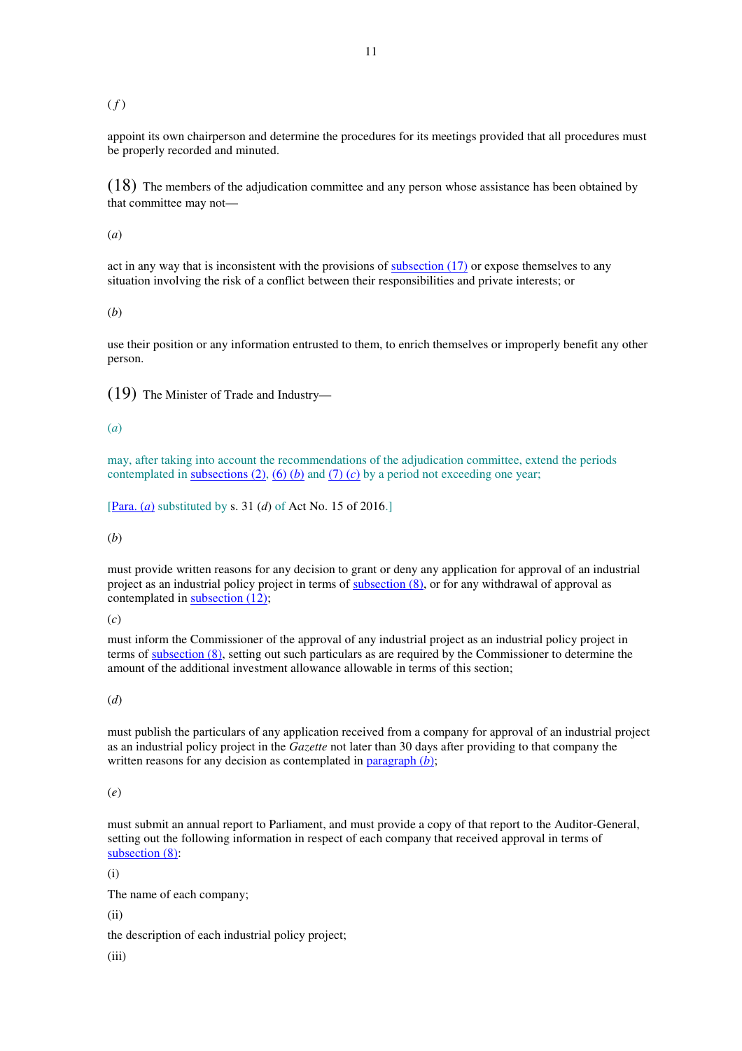### $(f)$

appoint its own chairperson and determine the procedures for its meetings provided that all procedures must be properly recorded and minuted.

(18) The members of the adjudication committee and any person whose assistance has been obtained by that committee may not—

(*a*)

act in any way that is inconsistent with the provisions of subsection (17) or expose themselves to any situation involving the risk of a conflict between their responsibilities and private interests; or

(*b*)

use their position or any information entrusted to them, to enrich themselves or improperly benefit any other person.

(19) The Minister of Trade and Industry—

### (*a*)

may, after taking into account the recommendations of the adjudication committee, extend the periods contemplated in subsections  $(2)$ ,  $(6)$   $(b)$  and  $(7)$   $(c)$  by a period not exceeding one year;

[Para. (*a*) substituted by s. 31 (*d*) of Act No. 15 of 2016.]

(*b*)

must provide written reasons for any decision to grant or deny any application for approval of an industrial project as an industrial policy project in terms of subsection (8), or for any withdrawal of approval as contemplated in subsection (12);

(*c*)

must inform the Commissioner of the approval of any industrial project as an industrial policy project in terms of subsection (8), setting out such particulars as are required by the Commissioner to determine the amount of the additional investment allowance allowable in terms of this section;

(*d*)

must publish the particulars of any application received from a company for approval of an industrial project as an industrial policy project in the *Gazette* not later than 30 days after providing to that company the written reasons for any decision as contemplated in paragraph (*b*);

(*e*)

must submit an annual report to Parliament, and must provide a copy of that report to the Auditor-General, setting out the following information in respect of each company that received approval in terms of subsection (8):

(i)

The name of each company;

(ii)

the description of each industrial policy project;

(iii)